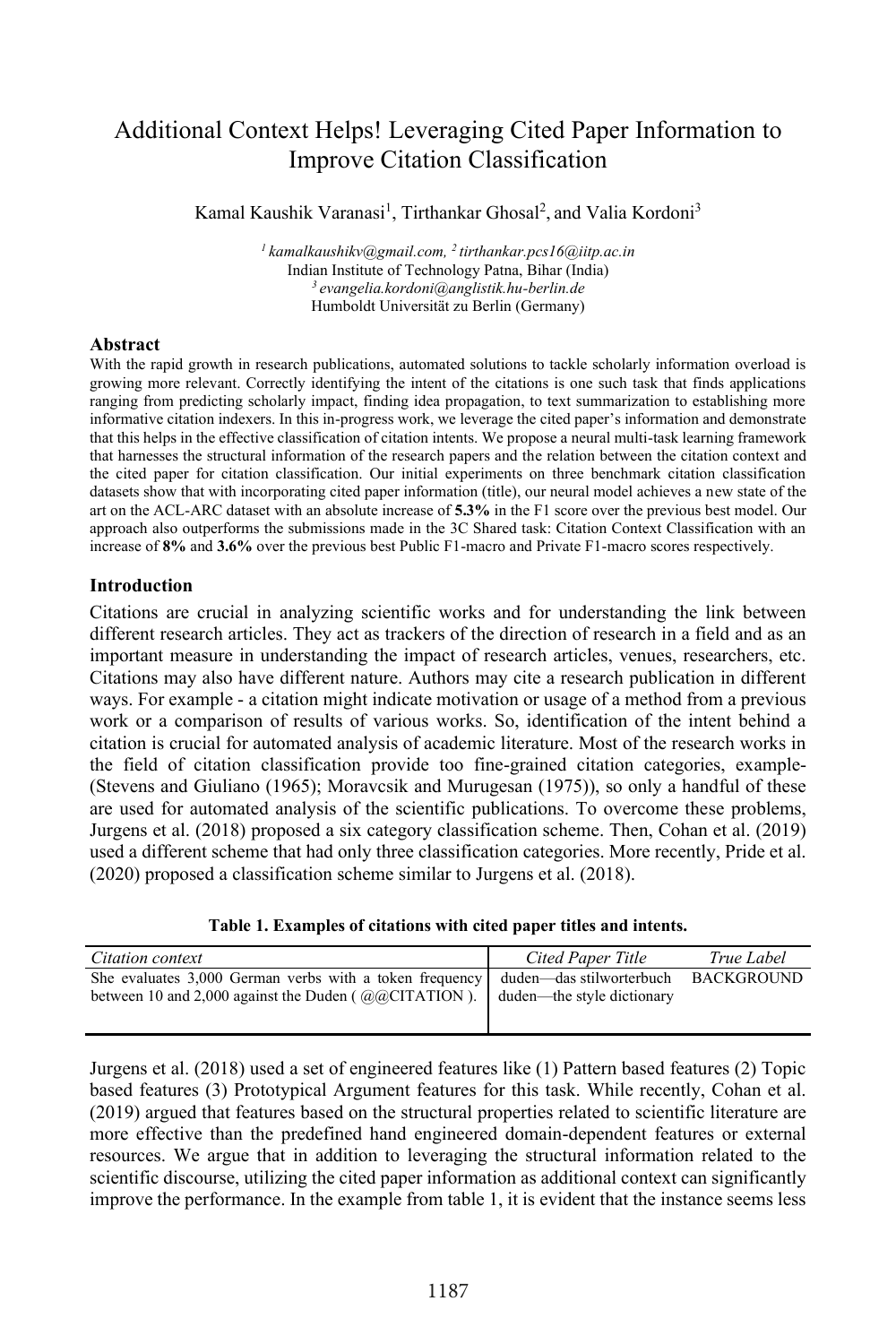# Additional Context Helps! Leveraging Cited Paper Information to Improve Citation Classification

Kamal Kaushik Varanasi<sup>1</sup>, Tirthankar Ghosal<sup>2</sup>, and Valia Kordoni<sup>3</sup>

*1 kamalkaushikv@gmail.com, 2 tirthankar.pcs16@iitp.ac.in*  Indian Institute of Technology Patna, Bihar (India) *3 evangelia.kordoni@anglistik.hu-berlin.de* Humboldt Universität zu Berlin (Germany)

### **Abstract**

With the rapid growth in research publications, automated solutions to tackle scholarly information overload is growing more relevant. Correctly identifying the intent of the citations is one such task that finds applications ranging from predicting scholarly impact, finding idea propagation, to text summarization to establishing more informative citation indexers. In this in-progress work, we leverage the cited paper's information and demonstrate that this helps in the effective classification of citation intents. We propose a neural multi-task learning framework that harnesses the structural information of the research papers and the relation between the citation context and the cited paper for citation classification. Our initial experiments on three benchmark citation classification datasets show that with incorporating cited paper information (title), our neural model achieves a new state of the art on the ACL-ARC dataset with an absolute increase of **5.3%** in the F1 score over the previous best model. Our approach also outperforms the submissions made in the 3C Shared task: Citation Context Classification with an increase of **8%** and **3.6%** over the previous best Public F1-macro and Private F1-macro scores respectively.

### **Introduction**

Citations are crucial in analyzing scientific works and for understanding the link between different research articles. They act as trackers of the direction of research in a field and as an important measure in understanding the impact of research articles, venues, researchers, etc. Citations may also have different nature. Authors may cite a research publication in different ways. For example - a citation might indicate motivation or usage of a method from a previous work or a comparison of results of various works. So, identification of the intent behind a citation is crucial for automated analysis of academic literature. Most of the research works in the field of citation classification provide too fine-grained citation categories, example- (Stevens and Giuliano (1965); Moravcsik and Murugesan (1975)), so only a handful of these are used for automated analysis of the scientific publications. To overcome these problems, Jurgens et al. (2018) proposed a six category classification scheme. Then, Cohan et al. (2019) used a different scheme that had only three classification categories. More recently, Pride et al. (2020) proposed a classification scheme similar to Jurgens et al. (2018).

**Table 1. Examples of citations with cited paper titles and intents.** 

| Citation context                                                                                                                                                        | Cited Paper Title | True Label        |
|-------------------------------------------------------------------------------------------------------------------------------------------------------------------------|-------------------|-------------------|
| She evaluates 3,000 German verbs with a token frequency duden—das stilworterbuch<br>between 10 and 2,000 against the Duden ( $@@CITATION$ ). duden—the style dictionary |                   | <b>BACKGROUND</b> |

Jurgens et al. (2018) used a set of engineered features like (1) Pattern based features (2) Topic based features (3) Prototypical Argument features for this task. While recently, Cohan et al. (2019) argued that features based on the structural properties related to scientific literature are more effective than the predefined hand engineered domain-dependent features or external resources. We argue that in addition to leveraging the structural information related to the scientific discourse, utilizing the cited paper information as additional context can significantly improve the performance. In the example from table 1, it is evident that the instance seems less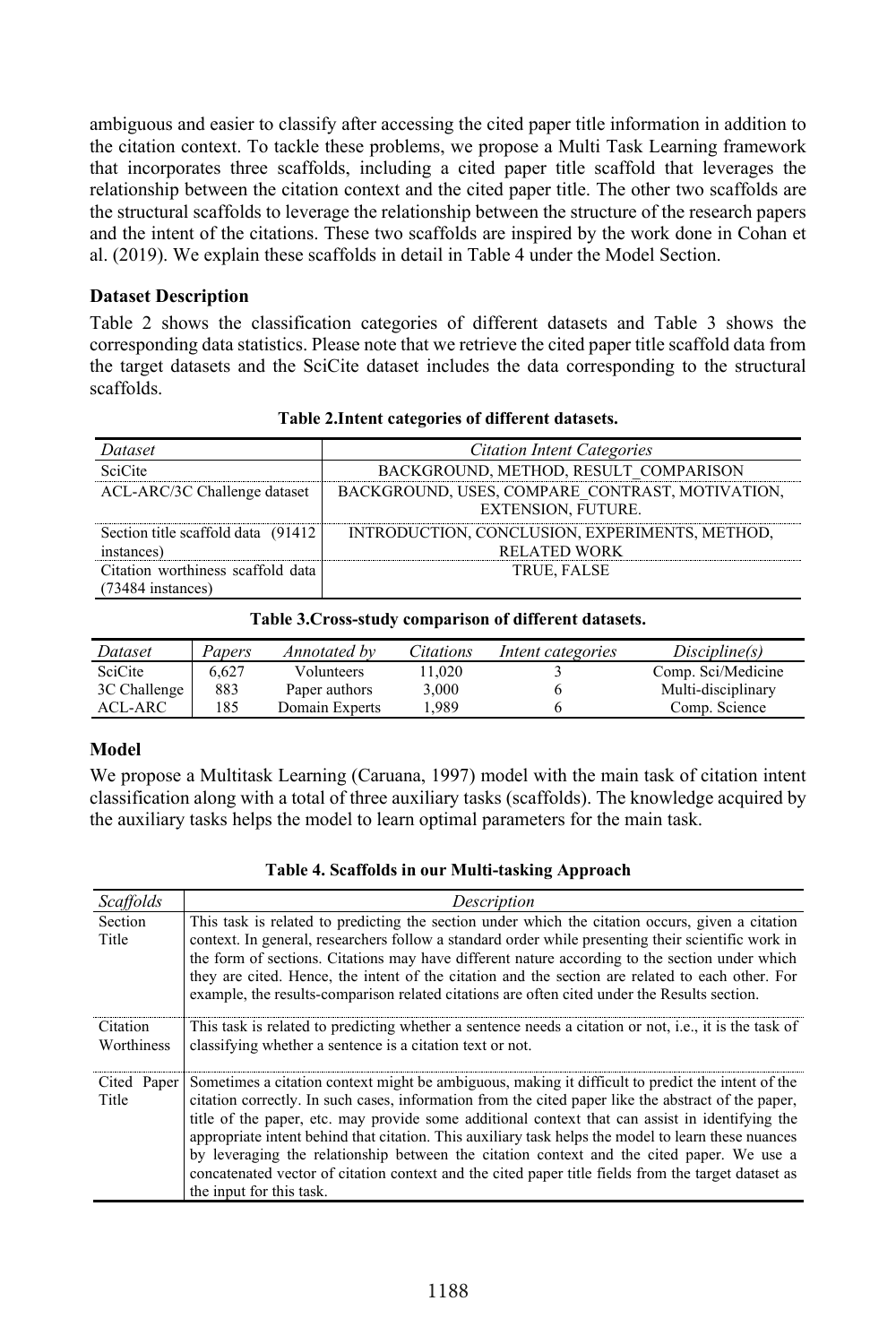ambiguous and easier to classify after accessing the cited paper title information in addition to the citation context. To tackle these problems, we propose a Multi Task Learning framework that incorporates three scaffolds, including a cited paper title scaffold that leverages the relationship between the citation context and the cited paper title. The other two scaffolds are the structural scaffolds to leverage the relationship between the structure of the research papers and the intent of the citations. These two scaffolds are inspired by the work done in Cohan et al. (2019). We explain these scaffolds in detail in Table 4 under the Model Section.

### **Dataset Description**

Table 2 shows the classification categories of different datasets and Table 3 shows the corresponding data statistics. Please note that we retrieve the cited paper title scaffold data from the target datasets and the SciCite dataset includes the data corresponding to the structural scaffolds.

| Dataset                                                  | <b>Citation Intent Categories</b>                                     |
|----------------------------------------------------------|-----------------------------------------------------------------------|
| <b>SciCite</b>                                           | BACKGROUND, METHOD, RESULT COMPARISON                                 |
| ACL-ARC/3C Challenge dataset                             | BACKGROUND, USES, COMPARE CONTRAST, MOTIVATION,<br>EXTENSION, FUTURE. |
| Section title scaffold data (91412)<br>instances)        | INTRODUCTION, CONCLUSION, EXPERIMENTS, METHOD,<br><b>RELATED WORK</b> |
| Citation worthiness scaffold data<br>$(73484$ instances) | <b>TRUE, FALSE</b>                                                    |

# **Table 2.Intent categories of different datasets.**

| Table 5.Cross-study comparison of unicrent datasets. |        |                |           |                   |                    |
|------------------------------------------------------|--------|----------------|-----------|-------------------|--------------------|
| Dataset                                              | Papers | Annotated by   | Citations | Intent categories | Discipline(s)      |
| SciCite                                              | 6.627  | Volunteers     | 11.020    |                   | Comp. Sci/Medicine |
| 3C Challenge                                         | 883    | Paper authors  | 3.000     |                   | Multi-disciplinary |
| ACL-ARC                                              | 185    | Domain Experts | 1.989     |                   | Comp. Science      |

#### **Table 3.Cross-study comparison of different datasets.**

### **Model**

We propose a Multitask Learning (Caruana, 1997) model with the main task of citation intent classification along with a total of three auxiliary tasks (scaffolds). The knowledge acquired by the auxiliary tasks helps the model to learn optimal parameters for the main task.

| Scaffolds              | Description                                                                                                                                                                                                                                                                                                                                                                                                                                                                                                                                                                                                                                        |
|------------------------|----------------------------------------------------------------------------------------------------------------------------------------------------------------------------------------------------------------------------------------------------------------------------------------------------------------------------------------------------------------------------------------------------------------------------------------------------------------------------------------------------------------------------------------------------------------------------------------------------------------------------------------------------|
| Section<br>Title       | This task is related to predicting the section under which the citation occurs, given a citation<br>context. In general, researchers follow a standard order while presenting their scientific work in<br>the form of sections. Citations may have different nature according to the section under which<br>they are cited. Hence, the intent of the citation and the section are related to each other. For<br>example, the results-comparison related citations are often cited under the Results section.                                                                                                                                       |
| Citation<br>Worthiness | This task is related to predicting whether a sentence needs a citation or not, i.e., it is the task of<br>classifying whether a sentence is a citation text or not.                                                                                                                                                                                                                                                                                                                                                                                                                                                                                |
| Cited Paper<br>Title   | Sometimes a citation context might be ambiguous, making it difficult to predict the intent of the<br>citation correctly. In such cases, information from the cited paper like the abstract of the paper,<br>title of the paper, etc. may provide some additional context that can assist in identifying the<br>appropriate intent behind that citation. This auxiliary task helps the model to learn these nuances<br>by leveraging the relationship between the citation context and the cited paper. We use a<br>concatenated vector of citation context and the cited paper title fields from the target dataset as<br>the input for this task. |

### **Table 4. Scaffolds in our Multi-tasking Approach**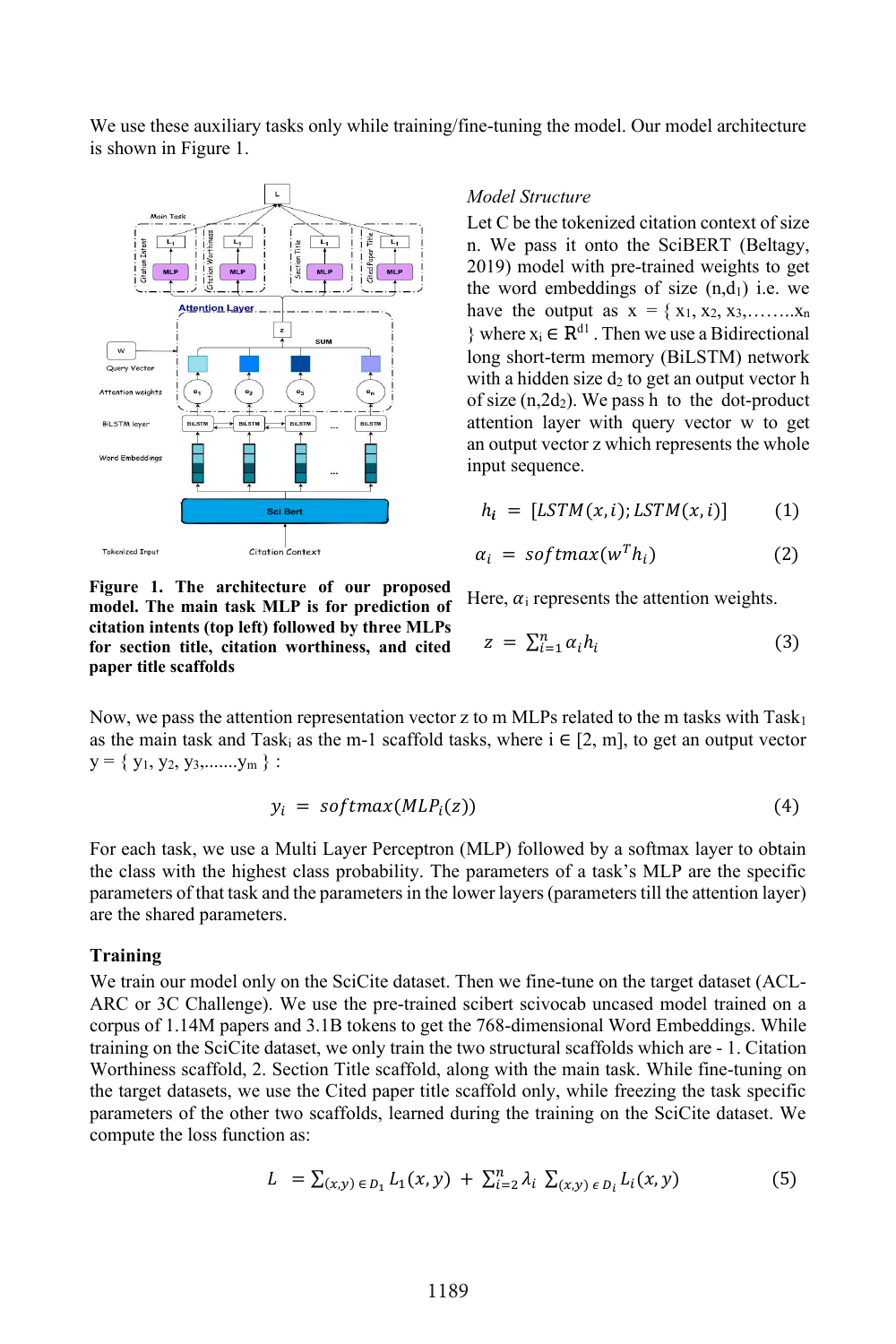We use these auxiliary tasks only while training/fine-tuning the model. Our model architecture is shown in Figure 1.



**model. The main task MLP is for prediction of citation intents (top left) followed by three MLPs for section title, citation worthiness, and cited** 

*Model Structure*

Let C be the tokenized citation context of size n. We pass it onto the SciBERT (Beltagy, 2019) model with pre-trained weights to get the word embeddings of size  $(n,d_1)$  i.e. we have the output as  $x = \{x_1, x_2, x_3, \ldots, x_n\}$ } where  $x_i$  ∈  $R^{d_1}$ . Then we use a Bidirectional long short-term memory (BiLSTM) network with a hidden size  $d_2$  to get an output vector h of size  $(n, 2d_2)$ . We pass h to the dot-product attention layer with query vector w to get an output vector z which represents the whole input sequence.

$$
h_i = [LSTM(x, i); LSTM(x, i)] \qquad (1)
$$

$$
\alpha_i = softmax(w^T h_i) \tag{2}
$$

Here,  $\alpha_i$  represents the attention weights.

$$
z = \sum_{i=1}^{n} \alpha_i h_i \tag{3}
$$

Now, we pass the attention representation vector z to m MLPs related to the m tasks with Task<sub>1</sub> as the main task and Task<sub>i</sub> as the m-1 scaffold tasks, where  $i \in [2, m]$ , to get an output vector  $y = \{ y_1, y_2, y_3, \dots, y_m \}$ :

$$
y_i = softmax(MLP_i(z)) \tag{4}
$$

For each task, we use a Multi Layer Perceptron (MLP) followed by a softmax layer to obtain the class with the highest class probability. The parameters of a task's MLP are the specific parameters of that task and the parameters in the lower layers (parameters till the attention layer) are the shared parameters.

### **Training**

**paper title scaffolds**

We train our model only on the SciCite dataset. Then we fine-tune on the target dataset (ACL-ARC or 3C Challenge). We use the pre-trained scibert scivocab uncased model trained on a corpus of 1.14M papers and 3.1B tokens to get the 768-dimensional Word Embeddings. While training on the SciCite dataset, we only train the two structural scaffolds which are - 1. Citation Worthiness scaffold, 2. Section Title scaffold, along with the main task. While fine-tuning on the target datasets, we use the Cited paper title scaffold only, while freezing the task specific parameters of the other two scaffolds, learned during the training on the SciCite dataset. We compute the loss function as:

$$
L = \sum_{(x,y) \in D_1} L_1(x,y) + \sum_{i=2}^n \lambda_i \sum_{(x,y) \in D_i} L_i(x,y) \tag{5}
$$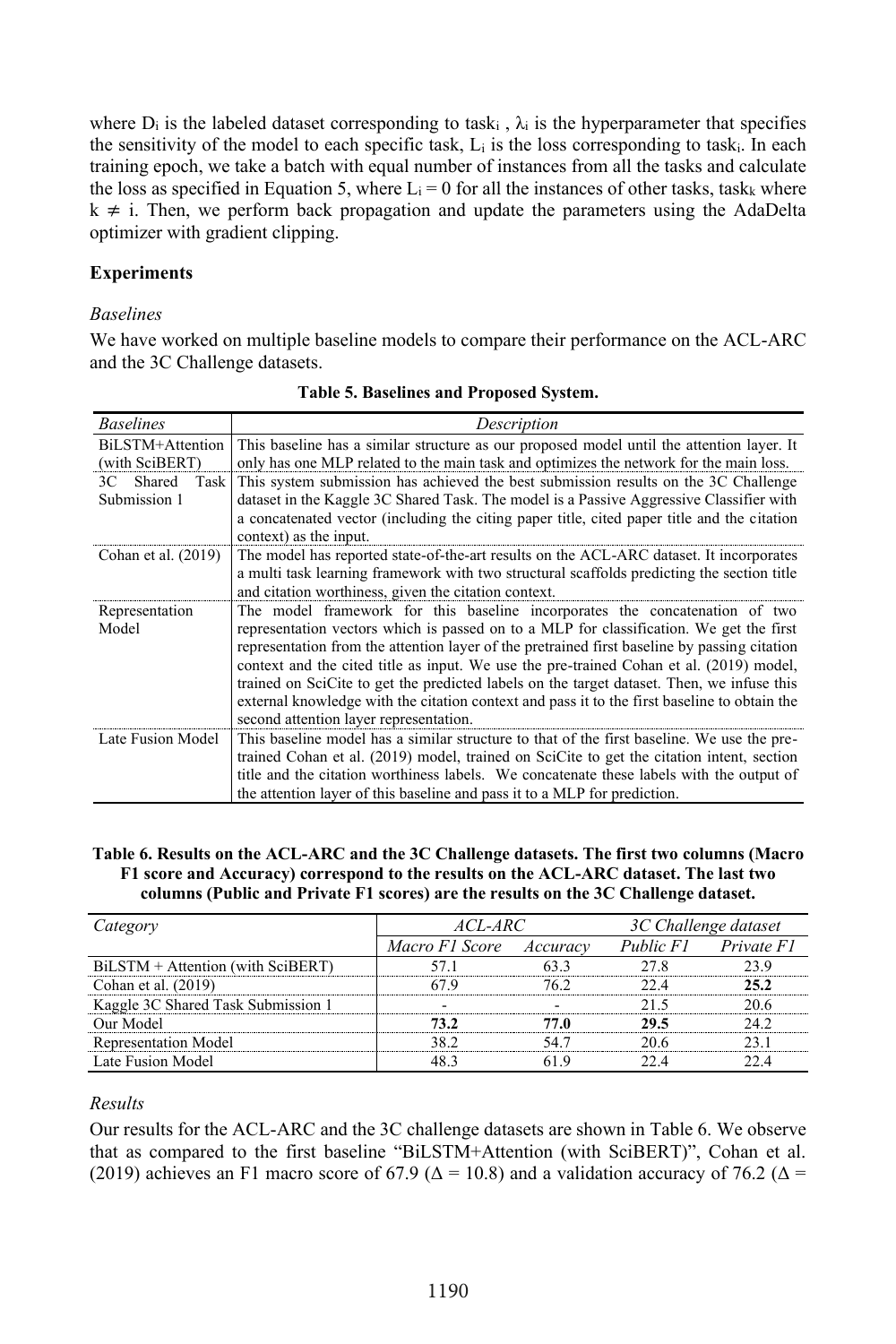where  $D_i$  is the labeled dataset corresponding to task<sub>i</sub>,  $\lambda_i$  is the hyperparameter that specifies the sensitivity of the model to each specific task,  $L_i$  is the loss corresponding to task. In each training epoch, we take a batch with equal number of instances from all the tasks and calculate the loss as specified in Equation 5, where  $L_i = 0$  for all the instances of other tasks, task<sub>k</sub> where  $k \neq i$ . Then, we perform back propagation and update the parameters using the AdaDelta optimizer with gradient clipping.

# **Experiments**

### *Baselines*

We have worked on multiple baseline models to compare their performance on the ACL-ARC and the 3C Challenge datasets.

| <b>Baselines</b>     | Description                                                                                  |  |  |  |
|----------------------|----------------------------------------------------------------------------------------------|--|--|--|
| BiLSTM+Attention     | This baseline has a similar structure as our proposed model until the attention layer. It    |  |  |  |
| (with SciBERT)       | only has one MLP related to the main task and optimizes the network for the main loss.       |  |  |  |
| Shared<br>Task<br>3С | This system submission has achieved the best submission results on the 3C Challenge          |  |  |  |
| Submission 1         | dataset in the Kaggle 3C Shared Task. The model is a Passive Aggressive Classifier with      |  |  |  |
|                      | a concatenated vector (including the citing paper title, cited paper title and the citation  |  |  |  |
|                      | context) as the input.                                                                       |  |  |  |
| Cohan et al. (2019)  | The model has reported state-of-the-art results on the ACL-ARC dataset. It incorporates      |  |  |  |
|                      | a multi task learning framework with two structural scaffolds predicting the section title   |  |  |  |
|                      | and citation worthiness, given the citation context.                                         |  |  |  |
| Representation       | The model framework for this baseline incorporates the concatenation of two                  |  |  |  |
| Model                | representation vectors which is passed on to a MLP for classification. We get the first      |  |  |  |
|                      | representation from the attention layer of the pretrained first baseline by passing citation |  |  |  |
|                      | context and the cited title as input. We use the pre-trained Cohan et al. (2019) model,      |  |  |  |
|                      | trained on SciCite to get the predicted labels on the target dataset. Then, we infuse this   |  |  |  |
|                      | external knowledge with the citation context and pass it to the first baseline to obtain the |  |  |  |
|                      | second attention layer representation.                                                       |  |  |  |
| Late Fusion Model    | This baseline model has a similar structure to that of the first baseline. We use the pre-   |  |  |  |
|                      | trained Cohan et al. (2019) model, trained on SciCite to get the citation intent, section    |  |  |  |
|                      | title and the citation worthiness labels. We concatenate these labels with the output of     |  |  |  |
|                      | the attention layer of this baseline and pass it to a MLP for prediction.                    |  |  |  |

### **Table 6. Results on the ACL-ARC and the 3C Challenge datasets. The first two columns (Macro F1 score and Accuracy) correspond to the results on the ACL-ARC dataset. The last two columns (Public and Private F1 scores) are the results on the 3C Challenge dataset.**

| Category                           | <i>ACL-ARC</i> |          | 3C Challenge dataset |            |
|------------------------------------|----------------|----------|----------------------|------------|
|                                    | Macro F1 Score | Accuracy | Public F1            | Private F1 |
| BiLSTM + Attention (with SciBERT)  | 57.1           | 63.3     | 27.8                 | 23.9       |
| Cohan et al. (2019)                | 67.9           | 76.2     | 224                  | 25.2       |
| Kaggle 3C Shared Task Submission 1 |                |          | 21.5                 | 20.6       |
| Our Model                          | 73.2           | 77.0     | 29.5                 | 24.2       |
| <b>Representation Model</b>        | 38.2           | 54.7     | 20.6                 | 23.1       |
| Late Fusion Model                  | 48.3           | 61.9     | 224                  | 22.4       |

### *Results*

Our results for the ACL-ARC and the 3C challenge datasets are shown in Table 6. We observe that as compared to the first baseline "BiLSTM+Attention (with SciBERT)", Cohan et al. (2019) achieves an F1 macro score of 67.9 ( $\Delta$  = 10.8) and a validation accuracy of 76.2 ( $\Delta$  =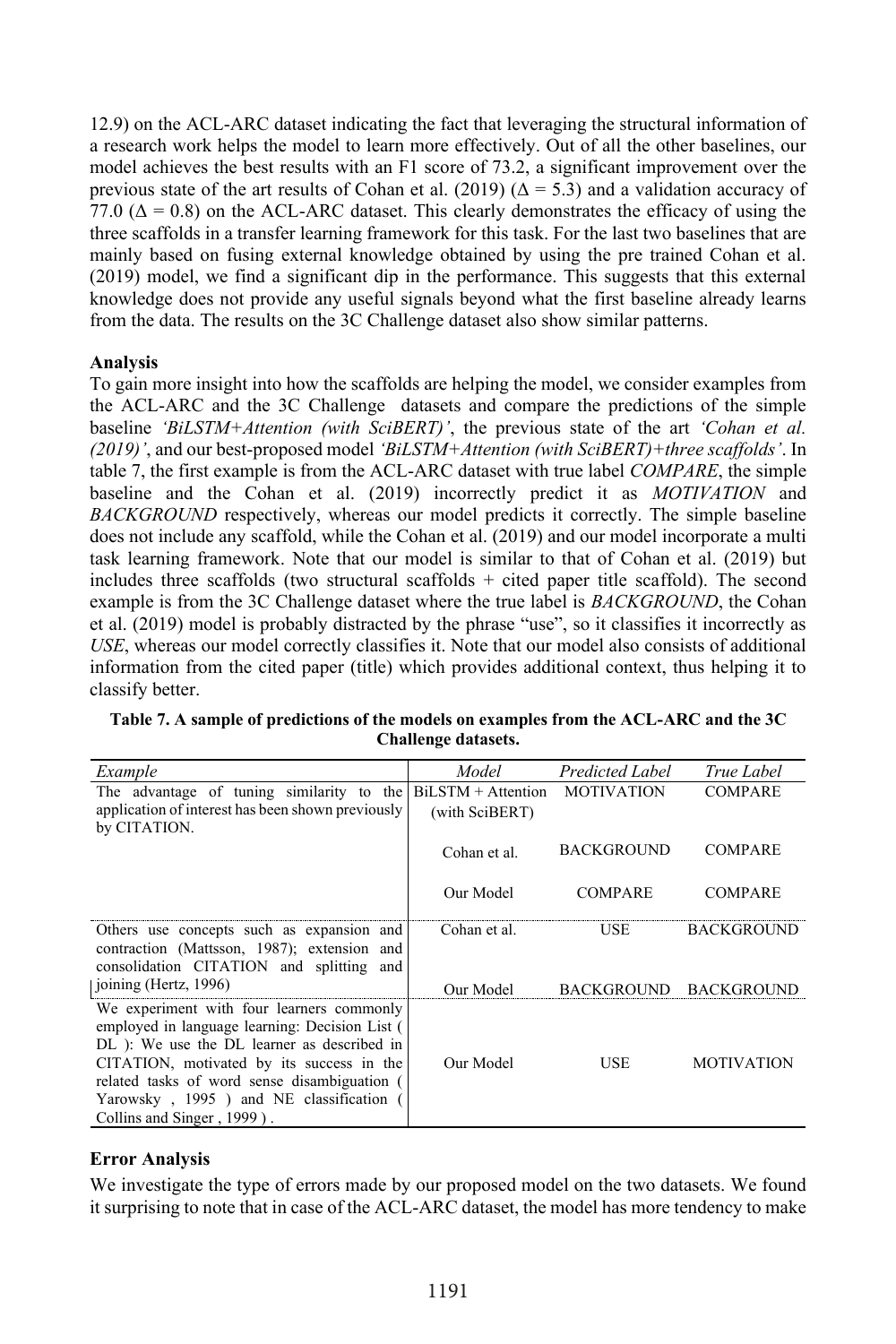12.9) on the ACL-ARC dataset indicating the fact that leveraging the structural information of a research work helps the model to learn more effectively. Out of all the other baselines, our model achieves the best results with an F1 score of 73.2, a significant improvement over the previous state of the art results of Cohan et al. (2019) ( $\Delta = 5.3$ ) and a validation accuracy of 77.0 ( $\Delta = 0.8$ ) on the ACL-ARC dataset. This clearly demonstrates the efficacy of using the three scaffolds in a transfer learning framework for this task. For the last two baselines that are mainly based on fusing external knowledge obtained by using the pre trained Cohan et al. (2019) model, we find a significant dip in the performance. This suggests that this external knowledge does not provide any useful signals beyond what the first baseline already learns from the data. The results on the 3C Challenge dataset also show similar patterns.

# **Analysis**

To gain more insight into how the scaffolds are helping the model, we consider examples from the ACL-ARC and the 3C Challenge datasets and compare the predictions of the simple baseline *'BiLSTM+Attention (with SciBERT)'*, the previous state of the art *'Cohan et al. (2019)'*, and our best-proposed model *'BiLSTM+Attention (with SciBERT)+three scaffolds'*. In table 7, the first example is from the ACL-ARC dataset with true label *COMPARE*, the simple baseline and the Cohan et al. (2019) incorrectly predict it as *MOTIVATION* and *BACKGROUND* respectively, whereas our model predicts it correctly. The simple baseline does not include any scaffold, while the Cohan et al. (2019) and our model incorporate a multi task learning framework. Note that our model is similar to that of Cohan et al. (2019) but includes three scaffolds (two structural scaffolds + cited paper title scaffold). The second example is from the 3C Challenge dataset where the true label is *BACKGROUND*, the Cohan et al. (2019) model is probably distracted by the phrase "use", so it classifies it incorrectly as *USE*, whereas our model correctly classifies it. Note that our model also consists of additional information from the cited paper (title) which provides additional context, thus helping it to classify better.

| Example                                                                                                                                                                                                                                                                                                         | Model                | Predicted Label   | True Label        |
|-----------------------------------------------------------------------------------------------------------------------------------------------------------------------------------------------------------------------------------------------------------------------------------------------------------------|----------------------|-------------------|-------------------|
| The advantage of tuning similarity to the                                                                                                                                                                                                                                                                       | $BiLSTM + Attention$ | <b>MOTIVATION</b> | <b>COMPARE</b>    |
| application of interest has been shown previously<br>by CITATION.                                                                                                                                                                                                                                               | (with SciBERT)       |                   |                   |
|                                                                                                                                                                                                                                                                                                                 | Cohan et al.         | <b>BACKGROUND</b> | <b>COMPARE</b>    |
|                                                                                                                                                                                                                                                                                                                 | Our Model            | <b>COMPARE</b>    | <b>COMPARE</b>    |
| Others use concepts such as expansion and<br>contraction (Mattsson, 1987); extension and<br>consolidation CITATION and splitting and                                                                                                                                                                            | Cohan et al.         | USE               | <b>BACKGROUND</b> |
| joining (Hertz, 1996)                                                                                                                                                                                                                                                                                           | Our Model            | <b>BACKGROUND</b> | <b>BACKGROUND</b> |
| We experiment with four learners commonly<br>employed in language learning: Decision List (<br>DL): We use the DL learner as described in<br>CITATION, motivated by its success in the<br>related tasks of word sense disambiguation (<br>Yarowsky, 1995) and NE classification (<br>Collins and Singer, 1999). | Our Model            | <b>USE</b>        | <b>MOTIVATION</b> |

**Table 7. A sample of predictions of the models on examples from the ACL-ARC and the 3C Challenge datasets.**

# **Error Analysis**

We investigate the type of errors made by our proposed model on the two datasets. We found it surprising to note that in case of the ACL-ARC dataset, the model has more tendency to make